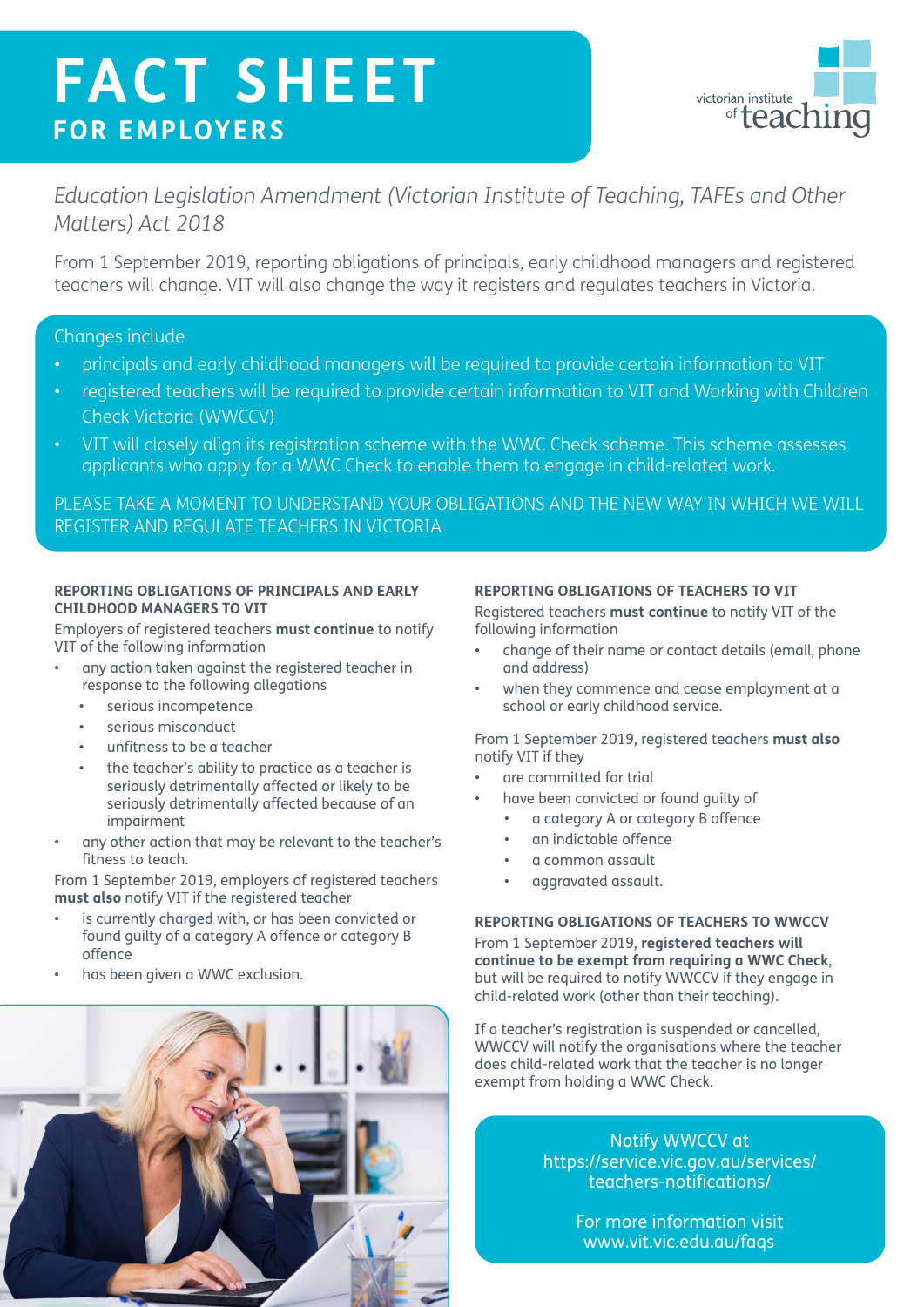# **FACT SHEET FOR EMPLOYERS**



# *Education Legislation Amendment (Victorian Institute of Teaching, TAFEs and Other Matters) Act 2018*

From 1 September 2019, reporting obligations of principals, early childhood managers and registered teachers will change. VIT will also change the way it registers and regulates teachers in Victoria.

## Changes include

- principals and early childhood managers will be required to provide certain information to VIT
- registered teachers will be required to provide certain information to VIT and Working with Children Check Victoria (WWCCV)
- VIT will closely align its registration scheme with the WWC Check scheme. This scheme assesses applicants who apply for a WWC Check to enable them to engage in child-related work.

PLEASE TAKE A MOMENT TO UNDERSTAND YOUR OBLIGATIONS AND THE NEW WAY IN WHICH WE WILL REGISTER AND REGULATE TEACHERS IN VICTORIA

#### **REPORTING OBLIGATIONS OF PRINCIPALS AND EARLY CHILDHOOD MANAGERS TO VIT**

Employers of registered teachers **must continue** to notify VIT of the following information

- any action taken against the registered teacher in response to the following allegations
	- serious incompetence
	- serious misconduct
	- unfitness to be a teacher
	- the teacher's ability to practice as a teacher is seriously detrimentally affected or likely to be seriously detrimentally affected because of an impairment
- any other action that may be relevant to the teacher's fitness to teach.

From 1 September 2019, employers of registered teachers **must also** notify VIT if the registered teacher

- is currently charged with, or has been convicted or found guilty of a category A offence or category B offence
- has been given a WWC exclusion.



### **REPORTING OBLIGATIONS OF TEACHERS TO VIT**

Registered teachers **must continue** to notify VIT of the following information

- change of their name or contact details (email, phone and address)
- when they commence and cease employment at a school or early childhood service.

From 1 September 2019, registered teachers **must also** notify VIT if they

- are committed for trial
- have been convicted or found guilty of
	- a category A or category B offence
	- an indictable offence
	- a common assault
	- aggravated assault.

#### **REPORTING OBLIGATIONS OF TEACHERS TO WWCCV**

From 1 September 2019, **registered teachers will continue to be exempt from requiring a WWC Check**, but will be required to notify WWCCV if they engage in child-related work (other than their teaching).

If a teacher's registration is suspended or cancelled, WWCCV will notify the organisations where the teacher does child-related work that the teacher is no longer exempt from holding a WWC Check.

> Notify WWCCV at https://service.vic.gov.au/services/ teachers-notifications/

> > For more information visit www.vit.vic.edu.au/faqs